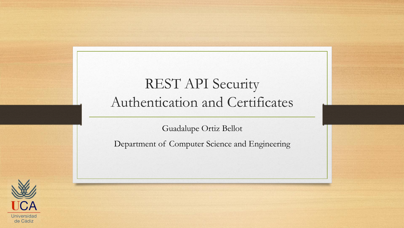#### REST API Security Authentication and Certificates

Guadalupe Ortiz Bellot

Department of Computer Science and Engineering

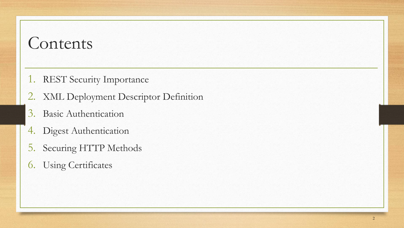- 1. REST Security Importance
- 2. XML Deployment Descriptor Definition
- 3. Basic Authentication
- 4. Digest Authentication
- 5. Securing HTTP Methods
- 6. Using Certificates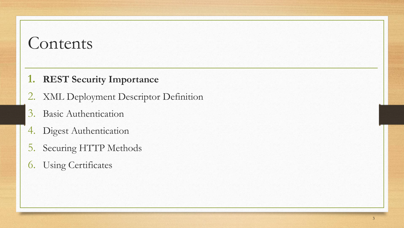#### **1. REST Security Importance**

- 2. XML Deployment Descriptor Definition
- 3. Basic Authentication
- 4. Digest Authentication
- 5. Securing HTTP Methods
- 6. Using Certificates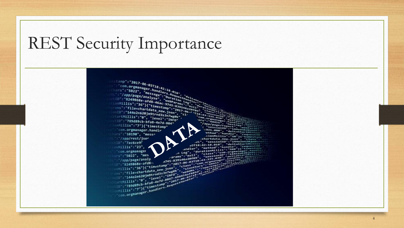## REST Security Importance



4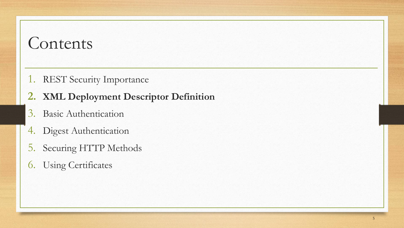- 1. REST Security Importance
- **2. XML Deployment Descriptor Definition**
- 3. Basic Authentication
- 4. Digest Authentication
- 5. Securing HTTP Methods
- 6. Using Certificates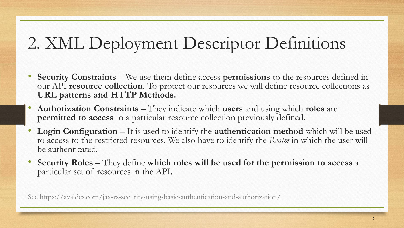# 2. XML Deployment Descriptor Definitions

- **Security Constraints** We use them define access **permissions** to the resources defined in our API **resource collection**. To protect our resources we will define resource collections as **URL patterns and HTTP Methods.**
- **Authorization Constraints** They indicate which **users** and using which **roles** are **permitted to access** to a particular resource collection previously defined.
- **Login Configuration** It is used to identify the **authentication method** which will be used to access to the restricted resources. We also have to identify the *Realm* in which the user will be authenticated.
- **Security Roles** They define **which roles will be used for the permission to access** a particular set of resources in the API.

See https://avaldes.com/jax-rs-security-using-basic-authentication-and-authorization/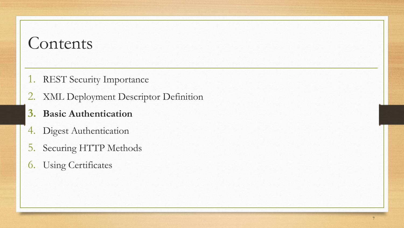- 1. REST Security Importance
- 2. XML Deployment Descriptor Definition

#### **3. Basic Authentication**

- 4. Digest Authentication
- 5. Securing HTTP Methods
- 6. Using Certificates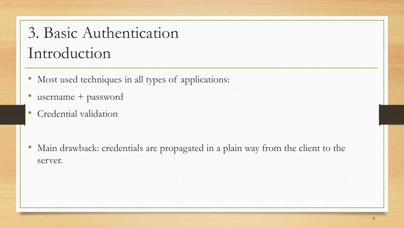## 3. Basic Authentication Introduction

- Most used techniques in all types of applications:
- username + password
- Credential validation

• Main drawback: credentials are propagated in a plain way from the client to the server.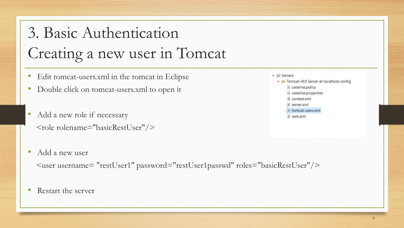# 3. Basic Authentication Creating a new user in Tomcat

- Edit tomcat-users.xml in the tomcat in Eclipse
- Double click on tomcat-users.xml to open it
- Add a new role if necessary  $\langle$ role rolename="basicRestUser"/>
- Add a new user

<user username= "restUser1" password="restUser1passwd" roles="basicRestUser"/>

• Restart the server

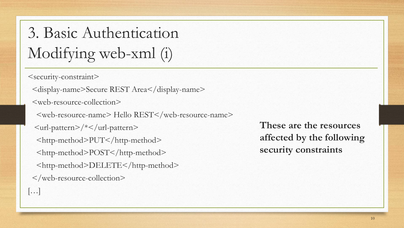3. Basic Authentication Modifying web-xml (i)

<security-constraint>

<display-name>Secure REST Area</display-name>

<web-resource-collection>

 $\langle$ web-resource-name $>$  Hello REST $\langle$  web-resource-name $>$ 

<url-pattern>/\*</url-pattern>

<http-method>PUT</http-method>

<http-method>POST</http-method>

<http-method>DELETE</http-method>

</web-resource-collection>

**These are the resources affected by the following security constraints**

[…]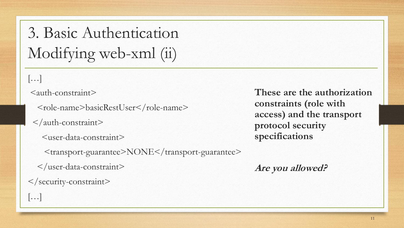3. Basic Authentication Modifying web-xml (ii)

 $\left[\ldots\right]$ 

```
\leqauth-constraint\geq
```
<role-name>basicRestUser</role-name>

</auth-constraint>

```
<user-data-constraint>
```
<transport-guarantee>NONE</transport-guarantee>

```
</user-data-constraint>
```
 $\langle$  security-constraint>

**These are the authorization constraints (role with access) and the transport protocol security specifications**

**Are you allowed?**

 $\left[\ldots\right]$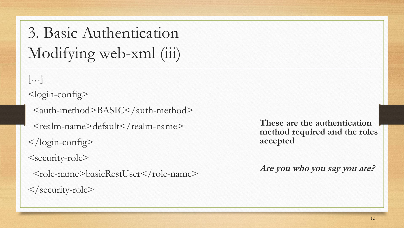3. Basic Authentication Modifying web-xml (iii)

 $\left[\ldots\right]$ <login-config> <auth-method>BASIC</auth-method> <realm-name>default</realm-name> </login-config> <security-role> <role-name>basicRestUser</role-name> </security-role>

**These are the authentication method required and the roles accepted**

**Are you who you say you are?**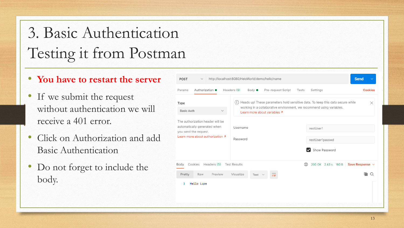# 3. Basic Authentication Testing it from Postman

- **You have to restart the server**
- If we submit the request without authentication we will receive a 401 error.
- Click on Authorization and add Basic Authentication
- Do not forget to include the body.

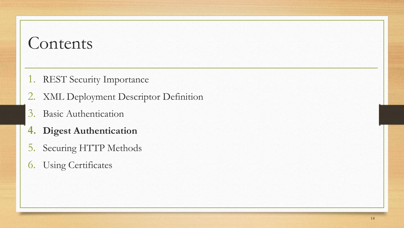- 1. REST Security Importance
- 2. XML Deployment Descriptor Definition
- 3. Basic Authentication
- **4. Digest Authentication**
- 5. Securing HTTP Methods
- 6. Using Certificates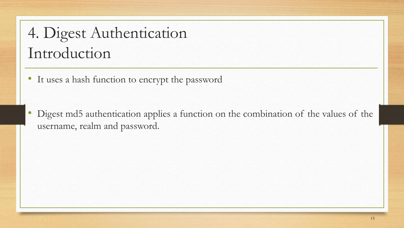## 4. Digest Authentication Introduction

• It uses a hash function to encrypt the password

• Digest md5 authentication applies a function on the combination of the values of the username, realm and password.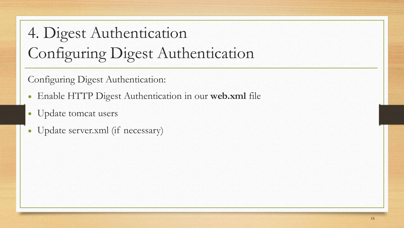# 4. Digest Authentication Configuring Digest Authentication

Configuring Digest Authentication:

- Enable HTTP Digest Authentication in our **web.xml** file
- Update tomcat users
- Update server.xml (if necessary)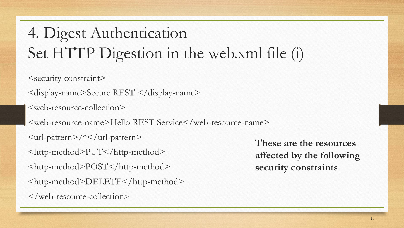## 4. Digest Authentication Set HTTP Digestion in the web.xml file (i)

<security-constraint>

```
<display-name>Secure REST </display-name>
```
<web-resource-collection>

<web-resource-name>Hello REST Service</web-resource-name>

 $\langle \text{url-pattern}\rangle/\langle \text{val-pattern}\rangle$ 

<http-method>PUT</http-method>

<http-method>POST</http-method>

<http-method>DELETE</http-method>

</web-resource-collection>

**These are the resources affected by the following security constraints**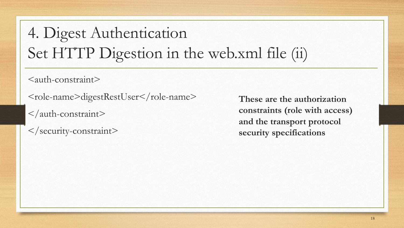## 4. Digest Authentication Set HTTP Digestion in the web.xml file (ii)

 $\leq$ auth-constraint $\geq$ 

<role-name>digestRestUser</role-name>

</auth-constraint>

</security-constraint>

**These are the authorization constraints (role with access) and the transport protocol security specifications**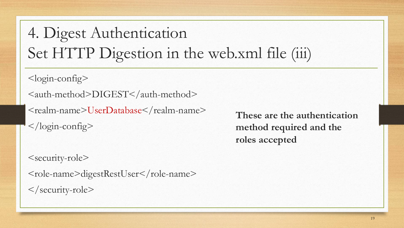## 4. Digest Authentication Set HTTP Digestion in the web.xml file (iii)

<login-config>

<auth-method>DIGEST</auth-method>

<realm-name>UserDatabase</realm-name>

</login-config>

**These are the authentication method required and the roles accepted**

```
<security-role>
<role-name>digestRestUser</role-name>
</security-role>
```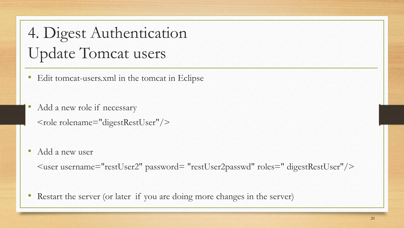## 4. Digest Authentication Update Tomcat users

- Edit tomcat-users.xml in the tomcat in Eclipse
- Add a new role if necessary <role rolename="digestRestUser"/>
- Add a new user

<user username="restUser2" password= "restUser2passwd" roles=" digestRestUser"/>

• Restart the server (or later if you are doing more changes in the server)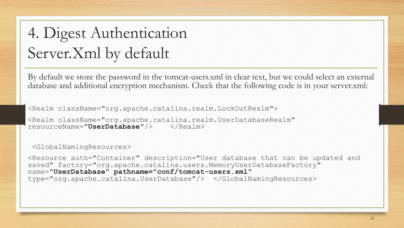## 4. Digest Authentication Server.Xml by default

By default we store the password in the tomcat-users.xml in clear text, but we could select an external database and additional encryption mechanism. Check that the following code is in your server.xml:

<Realm className="org.apache.catalina.realm.LockOutRealm">

<Realm className="org.apache.catalina.realm.UserDatabaseRealm" resourceName="**UserDatabase**"/> </Realm>

<GlobalNamingResources>

<Resource auth="Container" description="User database that can be updated and saved" factory="org.apache.catalina.users.MemoryUserDatabaseFactory" name="**UserDatabase" pathname="conf/tomcat-users.xml"**  type="org.apache.catalina.UserDatabase"/> </GlobalNamingResources>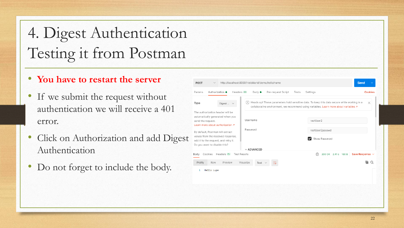# 4. Digest Authentication Testing it from Postman

#### • **You have to restart the server**

- If we submit the request without authentication we will receive a 401 error.
- Click on Authorization and add Diges Authentication
- Do not forget to include the body.

| Params                                                | Authorization ·                      | Headers (8)<br>Body $\bullet$ | Pre-request Script       | Tests | Settings                                                                                                                                                                                     | <b>Cookies</b> |  |  |
|-------------------------------------------------------|--------------------------------------|-------------------------------|--------------------------|-------|----------------------------------------------------------------------------------------------------------------------------------------------------------------------------------------------|----------------|--|--|
| Type                                                  | Digest $\vee$                        | $\left( \cdot \right)$        |                          |       | Heads up! These parameters hold sensitive data. To keep this data secure while working in a<br>collaborative environment, we recommend using variables. Learn more about variables $\lambda$ | $\times$       |  |  |
| The authorization header will be                      |                                      |                               |                          |       |                                                                                                                                                                                              |                |  |  |
| automatically generated when you<br>send the request. |                                      | Username                      |                          |       | restUser2                                                                                                                                                                                    |                |  |  |
|                                                       | Learn more about authorization 7     | Password                      |                          |       | restUser2passwd                                                                                                                                                                              |                |  |  |
| By default, Postman will extract                      |                                      |                               |                          |       |                                                                                                                                                                                              |                |  |  |
|                                                       | values from the received response,   |                               |                          |       | Show Password                                                                                                                                                                                |                |  |  |
| Do you want to disable this?                          | add it to the request, and retry it. |                               |                          |       |                                                                                                                                                                                              |                |  |  |
|                                                       |                                      | $\vee$ ADVANCED               |                          |       |                                                                                                                                                                                              |                |  |  |
| Body                                                  | Cookies Headers (5)                  | <b>Test Results</b>           |                          |       | ⊕<br>200 OK 2.41 s 160 B Save Response $\vee$                                                                                                                                                |                |  |  |
|                                                       |                                      |                               |                          |       |                                                                                                                                                                                              |                |  |  |
| Pretty<br>Raw                                         | Preview                              | Visualize<br>Text $\vee$      | $\overline{\Rightarrow}$ |       |                                                                                                                                                                                              |                |  |  |
| Hello Lupe<br>1                                       |                                      |                               |                          |       |                                                                                                                                                                                              |                |  |  |
|                                                       |                                      |                               |                          |       |                                                                                                                                                                                              |                |  |  |
|                                                       |                                      |                               |                          |       |                                                                                                                                                                                              |                |  |  |
|                                                       |                                      |                               |                          |       |                                                                                                                                                                                              |                |  |  |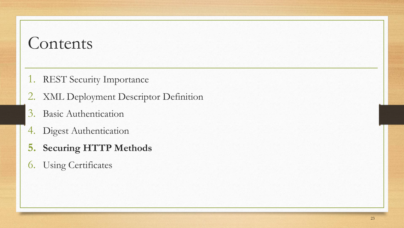- 1. REST Security Importance
- 2. XML Deployment Descriptor Definition
- 3. Basic Authentication
- 4. Digest Authentication
- **5. Securing HTTP Methods**
- 6. Using Certificates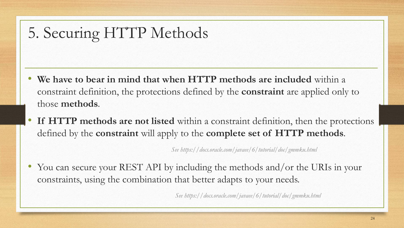### 5. Securing HTTP Methods

- **We have to bear in mind that when HTTP methods are included** within a constraint definition, the protections defined by the **constraint** are applied only to those **methods**.
- **If HTTP methods are not listed** within a constraint definition, then the protections defined by the **constraint** will apply to the **complete set of HTTP methods**.

*See https://docs.oracle.com/javaee/6/tutorial/doc/gmmku.html*

• You can secure your REST API by including the methods and/or the URIs in your constraints, using the combination that better adapts to your needs.

*See https://docs.oracle.com/javaee/6/tutorial/doc/gmmku.html*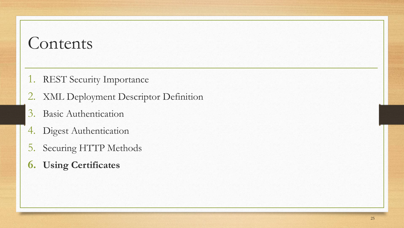- 1. REST Security Importance
- 2. XML Deployment Descriptor Definition
- 3. Basic Authentication
- 4. Digest Authentication
- 5. Securing HTTP Methods
- **6. Using Certificates**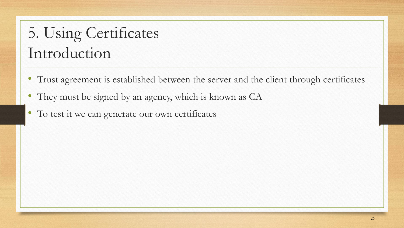## 5. Using Certificates Introduction

- Trust agreement is established between the server and the client through certificates
- They must be signed by an agency, which is known as CA
- To test it we can generate our own certificates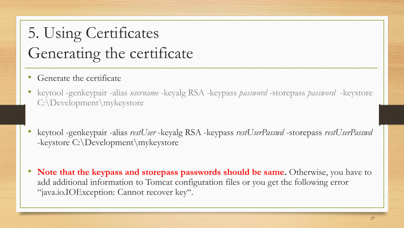## 5. Using Certificates Generating the certificate

- Generate the certificate
- keytool -genkeypair -alias *username* -keyalg RSA -keypass *password* -storepass *password* -keystore C:\Development\mykeystore
- keytool -genkeypair -alias *restUser* -keyalg RSA -keypass *restUserPasswd* -storepass *restUserPasswd* -keystore C:\Development\mykeystore
- **Note that the keypass and storepass passwords should be same.** Otherwise, you have to add additional information to Tomcat configuration files or you get the following error "java.io.IOException: Cannot recover key".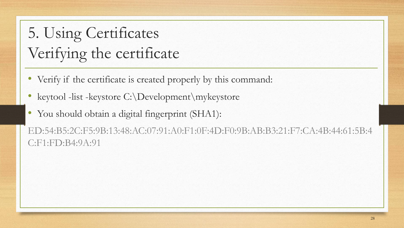# 5. Using Certificates Verifying the certificate

- Verify if the certificate is created properly by this command:
- keytool -list -keystore C:\Development\mykeystore
- You should obtain a digital fingerprint (SHA1):

ED:54:B5:2C:F5:9B:13:48:AC:07:91:A0:F1:0F:4D:F0:9B:AB:B3:21:F7:CA:4B:44:61:5B:4 C:F1:FD:B4:9A:91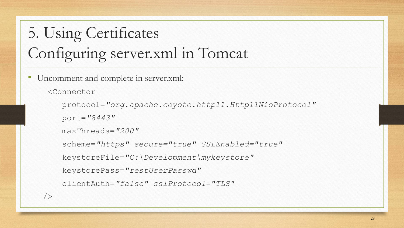# 5. Using Certificates Configuring server.xml in Tomcat

Uncomment and complete in server.xml:

```
<Connector
```
protocol=*"org.apache.coyote.http11.Http11NioProtocol"* 

```
port="8443"
```

```
maxThreads="200"
```

```
scheme="https" secure="true" SSLEnabled="true"
```
keystoreFile=*"C:\Development\mykeystore"*

```
keystorePass="restUserPasswd"
```

```
clientAuth="false" sslProtocol="TLS"
```

```
/>
```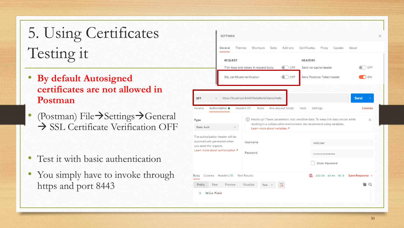# 5. Using Certificates Testing it

- **By default Autosigned certificates are not allowed in Postman**
- (Postman) File→Settings→General → SSL Certificate Verification OFF

- Test it with basic authentication
- You simply have to invoke through https and port 8443

| <b>SETTINGS</b>                                                                                                        |                                                                                                                    |                    |         |                                                                       |                    |        |                             |
|------------------------------------------------------------------------------------------------------------------------|--------------------------------------------------------------------------------------------------------------------|--------------------|---------|-----------------------------------------------------------------------|--------------------|--------|-----------------------------|
| General<br>Themes                                                                                                      | Shortcuts                                                                                                          | Data               | Add-ons | Certificates                                                          | Proxy              | Update | About                       |
| <b>REQUEST</b>                                                                                                         |                                                                                                                    |                    |         | <b>HEADERS</b>                                                        |                    |        |                             |
|                                                                                                                        | Trim keys and values in request body                                                                               |                    | OFF     | Send no-cache header                                                  |                    |        | OFF                         |
|                                                                                                                        | SSL certificate verification                                                                                       |                    | OFF     | Send Postman Token header                                             |                    |        | $\bigcap$ ON                |
|                                                                                                                        |                                                                                                                    |                    |         |                                                                       |                    |        |                             |
| <b>GET</b><br>$\checkmark$                                                                                             | https://localhost:8443/HeloWorld/demo/hello                                                                        |                    |         |                                                                       |                    |        | <b>Send</b><br>$\checkmark$ |
|                                                                                                                        |                                                                                                                    |                    |         |                                                                       |                    |        |                             |
| Authorization ●<br>Params                                                                                              | Headers (7)<br>Body                                                                                                | Pre-request Script |         | Tests                                                                 | Settings           |        | <b>Cookies</b>              |
|                                                                                                                        | (!) Heads up! These parameters hold sensitive data. To keep this data secure while<br>Learn more about variables 7 |                    |         | working in a collaborative environment, we recommend using variables. |                    |        | ×                           |
| Type<br><b>Basic Auth</b><br>The authorization header will be<br>automatically generated when<br>you send the request. | Username                                                                                                           |                    |         |                                                                       | restUser           |        |                             |
| Learn more about authorization 7                                                                                       | Password                                                                                                           |                    |         |                                                                       |                    |        |                             |
|                                                                                                                        |                                                                                                                    |                    |         |                                                                       | Show Password      |        |                             |
| Headers (5)<br>Cookies<br>Body                                                                                         | <b>Test Results</b>                                                                                                |                    |         | G.                                                                    | 200 OK 45 ms 161 B |        | Save Response $\vee$        |
| Preview<br>Pretty<br>Raw                                                                                               | Visualize<br>Text \                                                                                                |                    |         |                                                                       |                    |        | Q                           |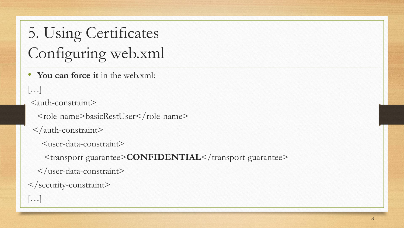5. Using Certificates Configuring web.xml

• **You can force it** in the web.xml:

#### […]

<auth-constraint>

<role-name>basicRestUser</role-name>

</auth-constraint>

```
<user-data-constraint>
```
<transport-guarantee>**CONFIDENTIAL**</transport-guarantee>

```
</user-data-constraint>
```
#### </security-constraint>

 $\left[\ldots\right]$